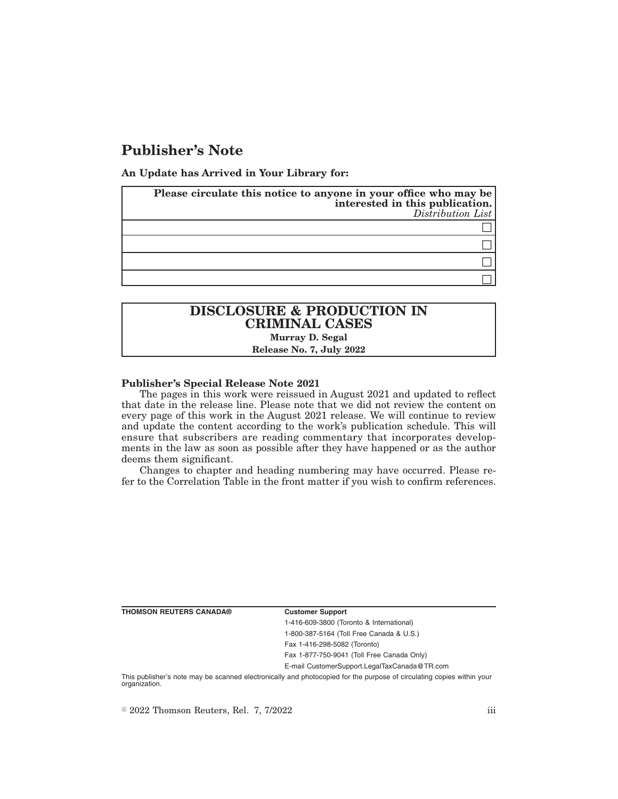# **Publisher's Note**

**An Update has Arrived in Your Library for:**

| Please circulate this notice to anyone in your office who may be<br>interested in this publication. | Distribution List |
|-----------------------------------------------------------------------------------------------------|-------------------|
|                                                                                                     |                   |
|                                                                                                     |                   |
|                                                                                                     |                   |
|                                                                                                     |                   |

## **DISCLOSURE & PRODUCTION IN CRIMINAL CASES Murray D. Segal Release No. 7, July 2022**

### **Publisher's Special Release Note 2021**

The pages in this work were reissued in August 2021 and updated to reflect that date in the release line. Please note that we did not review the content on every page of this work in the August 2021 release. We will continue to review and update the content according to the work's publication schedule. This will ensure that subscribers are reading commentary that incorporates developments in the law as soon as possible after they have happened or as the author deems them significant.

Changes to chapter and heading numbering may have occurred. Please refer to the Correlation Table in the front matter if you wish to confirm references.

**THOMSON REUTERS CANADA® Customer Support**

1-416-609-3800 (Toronto & International) 1-800-387-5164 (Toll Free Canada & U.S.) Fax 1-416-298-5082 (Toronto)

Fax 1-877-750-9041 (Toll Free Canada Only)

E-mail CustomerSupport.LegalTaxCanada@TR.com

This publisher's note may be scanned electronically and photocopied for the purpose of circulating copies within your organization.

 $\degree$  2022 Thomson Reuters, Rel. 7, 7/2022 iii